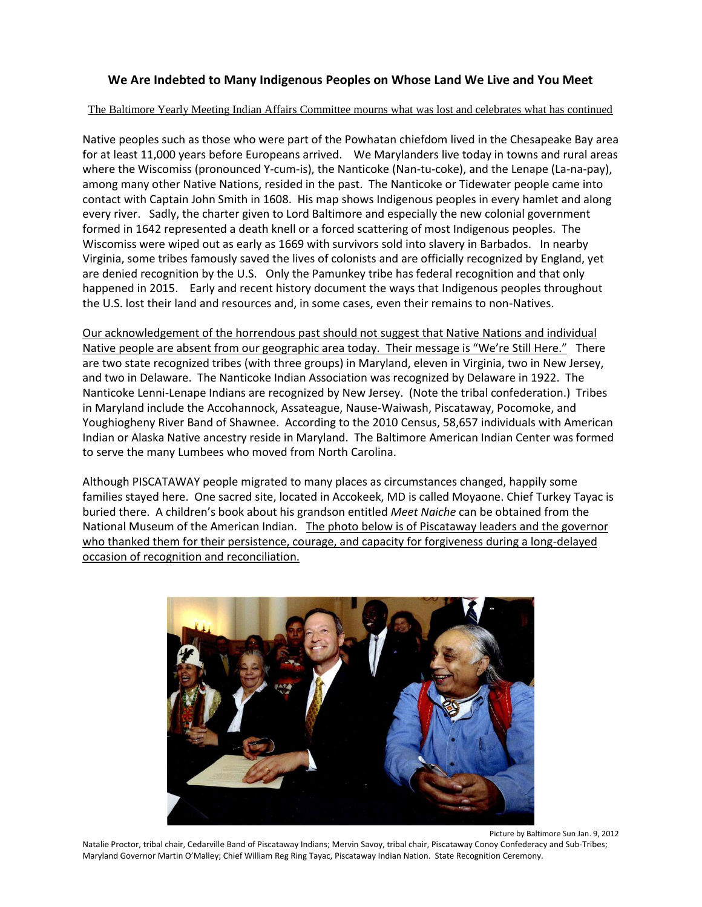## **We Are Indebted to Many Indigenous Peoples on Whose Land We Live and You Meet**

## The Baltimore Yearly Meeting Indian Affairs Committee mourns what was lost and celebrates what has continued

Native peoples such as those who were part of the Powhatan chiefdom lived in the Chesapeake Bay area for at least 11,000 years before Europeans arrived. We Marylanders live today in towns and rural areas where the Wiscomiss (pronounced Y-cum-is), the Nanticoke (Nan-tu-coke), and the Lenape (La-na-pay), among many other Native Nations, resided in the past. The Nanticoke or Tidewater people came into contact with Captain John Smith in 1608. His map shows Indigenous peoples in every hamlet and along every river. Sadly, the charter given to Lord Baltimore and especially the new colonial government formed in 1642 represented a death knell or a forced scattering of most Indigenous peoples. The Wiscomiss were wiped out as early as 1669 with survivors sold into slavery in Barbados. In nearby Virginia, some tribes famously saved the lives of colonists and are officially recognized by England, yet are denied recognition by the U.S. Only the Pamunkey tribe has federal recognition and that only happened in 2015. Early and recent history document the ways that Indigenous peoples throughout the U.S. lost their land and resources and, in some cases, even their remains to non-Natives.

Our acknowledgement of the horrendous past should not suggest that Native Nations and individual Native people are absent from our geographic area today. Their message is "We're Still Here." There are two state recognized tribes (with three groups) in Maryland, eleven in Virginia, two in New Jersey, and two in Delaware. The Nanticoke Indian Association was recognized by Delaware in 1922. The Nanticoke Lenni-Lenape Indians are recognized by New Jersey. (Note the tribal confederation.) Tribes in Maryland include the Accohannock, Assateague, Nause-Waiwash, Piscataway, Pocomoke, and Youghiogheny River Band of Shawnee. According to the 2010 Census, 58,657 individuals with American Indian or Alaska Native ancestry reside in Maryland. The Baltimore American Indian Center was formed to serve the many Lumbees who moved from North Carolina.

Although PISCATAWAY people migrated to many places as circumstances changed, happily some families stayed here. One sacred site, located in Accokeek, MD is called Moyaone. Chief Turkey Tayac is buried there. A children's book about his grandson entitled *Meet Naiche* can be obtained from the National Museum of the American Indian. The photo below is of Piscataway leaders and the governor who thanked them for their persistence, courage, and capacity for forgiveness during a long-delayed occasion of recognition and reconciliation.



Picture by Baltimore Sun Jan. 9, 2012

Natalie Proctor, tribal chair, Cedarville Band of Piscataway Indians; Mervin Savoy, tribal chair, Piscataway Conoy Confederacy and Sub-Tribes; Maryland Governor Martin O'Malley; Chief William Reg Ring Tayac, Piscataway Indian Nation. State Recognition Ceremony.